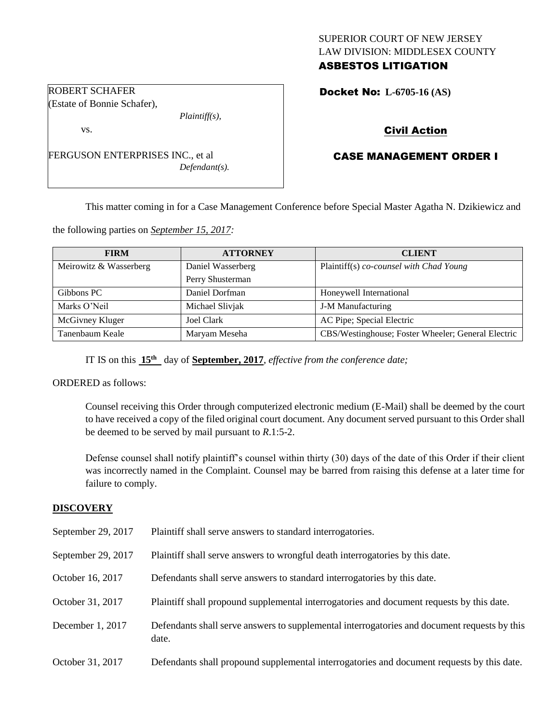## SUPERIOR COURT OF NEW JERSEY LAW DIVISION: MIDDLESEX COUNTY ASBESTOS LITIGATION

Docket No: **L-6705-16 (AS)** 

# Civil Action

# CASE MANAGEMENT ORDER I

This matter coming in for a Case Management Conference before Special Master Agatha N. Dzikiewicz and

the following parties on *September 15, 2017:*

| <b>FIRM</b>            | <b>ATTORNEY</b>   | <b>CLIENT</b>                                      |
|------------------------|-------------------|----------------------------------------------------|
| Meirowitz & Wasserberg | Daniel Wasserberg | Plaintiff(s) co-counsel with Chad Young            |
|                        | Perry Shusterman  |                                                    |
| Gibbons PC             | Daniel Dorfman    | Honeywell International                            |
| Marks O'Neil           | Michael Slivjak   | J-M Manufacturing                                  |
| McGivney Kluger        | Joel Clark        | AC Pipe; Special Electric                          |
| Tanenbaum Keale        | Maryam Meseha     | CBS/Westinghouse; Foster Wheeler; General Electric |

IT IS on this **15th** day of **September, 2017**, *effective from the conference date;*

ORDERED as follows:

Counsel receiving this Order through computerized electronic medium (E-Mail) shall be deemed by the court to have received a copy of the filed original court document. Any document served pursuant to this Order shall be deemed to be served by mail pursuant to *R*.1:5-2.

Defense counsel shall notify plaintiff's counsel within thirty (30) days of the date of this Order if their client was incorrectly named in the Complaint. Counsel may be barred from raising this defense at a later time for failure to comply.

## **DISCOVERY**

September 29, 2017 Plaintiff shall serve answers to standard interrogatories. September 29, 2017 Plaintiff shall serve answers to wrongful death interrogatories by this date. October 16, 2017 Defendants shall serve answers to standard interrogatories by this date. October 31, 2017 Plaintiff shall propound supplemental interrogatories and document requests by this date. December 1, 2017 Defendants shall serve answers to supplemental interrogatories and document requests by this date. October 31, 2017 Defendants shall propound supplemental interrogatories and document requests by this date.

## ROBERT SCHAFER (Estate of Bonnie Schafer),

vs.

FERGUSON ENTERPRISES INC., et al *Defendant(s).*

*Plaintiff(s),*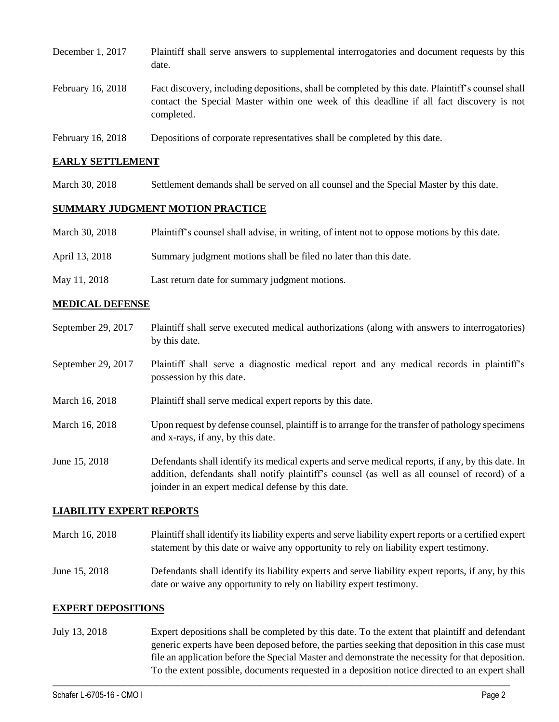| December 1, 2017  | Plaintiff shall serve answers to supplemental interrogatories and document requests by this<br>date.                                                                                                        |
|-------------------|-------------------------------------------------------------------------------------------------------------------------------------------------------------------------------------------------------------|
| February 16, 2018 | Fact discovery, including depositions, shall be completed by this date. Plaintiff's counsel shall<br>contact the Special Master within one week of this deadline if all fact discovery is not<br>completed. |
| February 16, 2018 | Depositions of corporate representatives shall be completed by this date.                                                                                                                                   |

#### **EARLY SETTLEMENT**

March 30, 2018 Settlement demands shall be served on all counsel and the Special Master by this date.

## **SUMMARY JUDGMENT MOTION PRACTICE**

| March 30, 2018 | Plaintiff's counsel shall advise, in writing, of intent not to oppose motions by this date. |
|----------------|---------------------------------------------------------------------------------------------|
| April 13, 2018 | Summary judgment motions shall be filed no later than this date.                            |
| May 11, 2018   | Last return date for summary judgment motions.                                              |

## **MEDICAL DEFENSE**

- September 29, 2017 Plaintiff shall serve executed medical authorizations (along with answers to interrogatories) by this date.
- September 29, 2017 Plaintiff shall serve a diagnostic medical report and any medical records in plaintiff's possession by this date.
- March 16, 2018 Plaintiff shall serve medical expert reports by this date.
- March 16, 2018 Upon request by defense counsel, plaintiff is to arrange for the transfer of pathology specimens and x-rays, if any, by this date.
- June 15, 2018 Defendants shall identify its medical experts and serve medical reports, if any, by this date. In addition, defendants shall notify plaintiff's counsel (as well as all counsel of record) of a joinder in an expert medical defense by this date.

#### **LIABILITY EXPERT REPORTS**

- March 16, 2018 Plaintiff shall identify its liability experts and serve liability expert reports or a certified expert statement by this date or waive any opportunity to rely on liability expert testimony.
- June 15, 2018 Defendants shall identify its liability experts and serve liability expert reports, if any, by this date or waive any opportunity to rely on liability expert testimony.

#### **EXPERT DEPOSITIONS**

July 13, 2018 Expert depositions shall be completed by this date. To the extent that plaintiff and defendant generic experts have been deposed before, the parties seeking that deposition in this case must file an application before the Special Master and demonstrate the necessity for that deposition. To the extent possible, documents requested in a deposition notice directed to an expert shall

 $\_$  ,  $\_$  ,  $\_$  ,  $\_$  ,  $\_$  ,  $\_$  ,  $\_$  ,  $\_$  ,  $\_$  ,  $\_$  ,  $\_$  ,  $\_$  ,  $\_$  ,  $\_$  ,  $\_$  ,  $\_$  ,  $\_$  ,  $\_$  ,  $\_$  ,  $\_$  ,  $\_$  ,  $\_$  ,  $\_$  ,  $\_$  ,  $\_$  ,  $\_$  ,  $\_$  ,  $\_$  ,  $\_$  ,  $\_$  ,  $\_$  ,  $\_$  ,  $\_$  ,  $\_$  ,  $\_$  ,  $\_$  ,  $\_$  ,